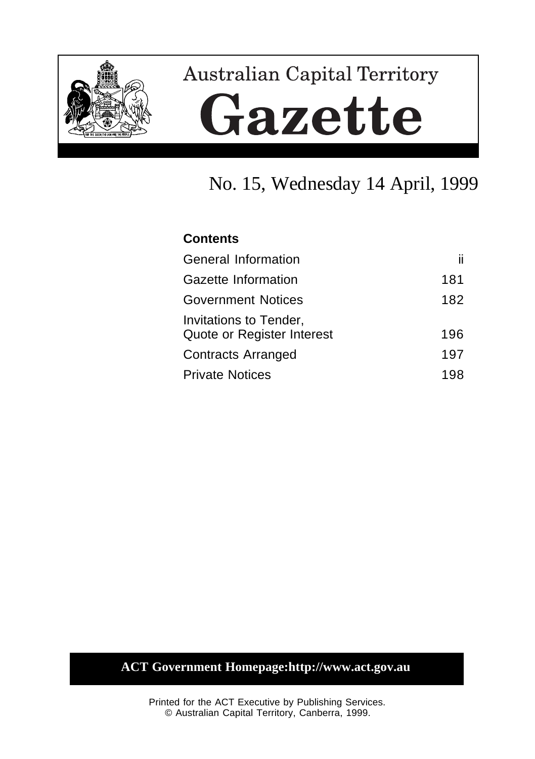

# **Australian Capital Territory** Gazette

# No. 15, Wednesday 14 April, 1999

## **Contents**

| General Information                                  | п   |
|------------------------------------------------------|-----|
| Gazette Information                                  | 181 |
| <b>Government Notices</b>                            | 182 |
| Invitations to Tender,<br>Quote or Register Interest | 196 |
| <b>Contracts Arranged</b>                            | 197 |
| <b>Private Notices</b>                               | 198 |

## **ACT Government Homepage:http://www.act.gov.au**

Printed for the ACT Executive by Publishing Services. © Australian Capital Territory, Canberra, 1999.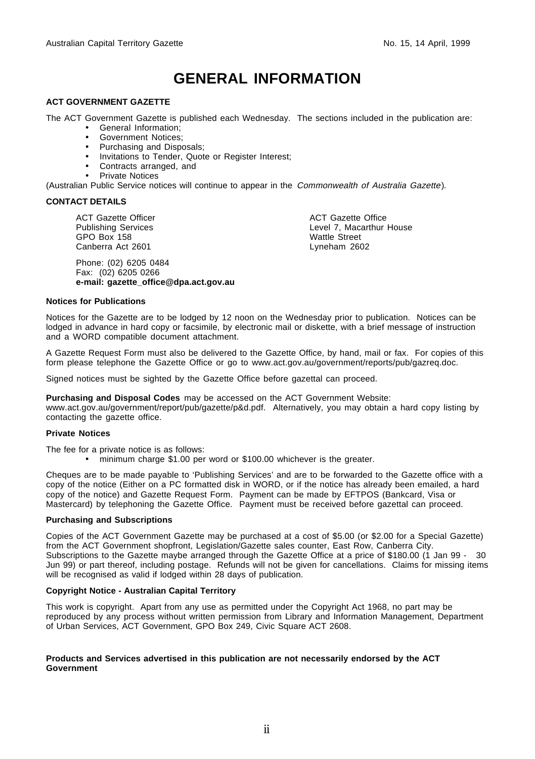# **GENERAL INFORMATION**

#### **ACT GOVERNMENT GAZETTE**

The ACT Government Gazette is published each Wednesday. The sections included in the publication are:

- General Information;
- Government Notices;
- Purchasing and Disposals;
- Invitations to Tender, Quote or Register Interest;
- Contracts arranged, and
- Private Notices

(Australian Public Service notices will continue to appear in the Commonwealth of Australia Gazette).

#### **CONTACT DETAILS**

ACT Gazette Officer Publishing Services GPO Box 158 Canberra Act 2601

Phone: (02) 6205 0484 Fax: (02) 6205 0266 **e-mail: gazette\_office@dpa.act.gov.au** ACT Gazette Office Level 7, Macarthur House Wattle Street Lyneham 2602

#### **Notices for Publications**

Notices for the Gazette are to be lodged by 12 noon on the Wednesday prior to publication. Notices can be lodged in advance in hard copy or facsimile, by electronic mail or diskette, with a brief message of instruction and a WORD compatible document attachment.

A Gazette Request Form must also be delivered to the Gazette Office, by hand, mail or fax. For copies of this form please telephone the Gazette Office or go to www.act.gov.au/government/reports/pub/gazreq.doc.

Signed notices must be sighted by the Gazette Office before gazettal can proceed.

**Purchasing and Disposal Codes** may be accessed on the ACT Government Website:

www.act.gov.au/government/report/pub/gazette/p&d.pdf. Alternatively, you may obtain a hard copy listing by contacting the gazette office.

#### **Private Notices**

The fee for a private notice is as follows:

• minimum charge \$1.00 per word or \$100.00 whichever is the greater.

Cheques are to be made payable to 'Publishing Services' and are to be forwarded to the Gazette office with a copy of the notice (Either on a PC formatted disk in WORD, or if the notice has already been emailed, a hard copy of the notice) and Gazette Request Form. Payment can be made by EFTPOS (Bankcard, Visa or Mastercard) by telephoning the Gazette Office. Payment must be received before gazettal can proceed.

#### **Purchasing and Subscriptions**

Copies of the ACT Government Gazette may be purchased at a cost of \$5.00 (or \$2.00 for a Special Gazette) from the ACT Government shopfront, Legislation/Gazette sales counter, East Row, Canberra City. Subscriptions to the Gazette maybe arranged through the Gazette Office at a price of \$180.00 (1 Jan 99 - 30 Jun 99) or part thereof, including postage. Refunds will not be given for cancellations. Claims for missing items will be recognised as valid if lodged within 28 days of publication.

#### **Copyright Notice - Australian Capital Territory**

This work is copyright. Apart from any use as permitted under the Copyright Act 1968, no part may be reproduced by any process without written permission from Library and Information Management, Department of Urban Services, ACT Government, GPO Box 249, Civic Square ACT 2608.

#### **Products and Services advertised in this publication are not necessarily endorsed by the ACT Government**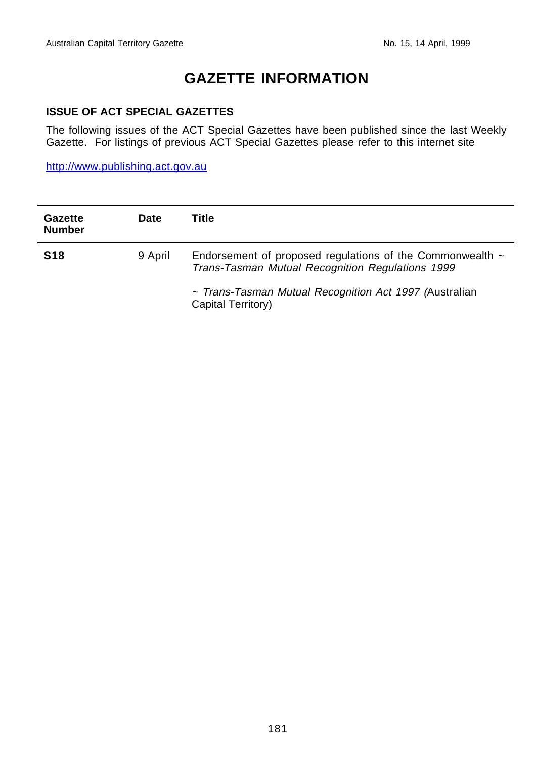## **GAZETTE INFORMATION**

#### **ISSUE OF ACT SPECIAL GAZETTES**

The following issues of the ACT Special Gazettes have been published since the last Weekly Gazette. For listings of previous ACT Special Gazettes please refer to this internet site

http://www.publishing.act.gov.au

| Gazette<br><b>Number</b> | Date    | Title                                                                                                              |
|--------------------------|---------|--------------------------------------------------------------------------------------------------------------------|
| <b>S18</b>               | 9 April | Endorsement of proposed regulations of the Commonwealth $\sim$<br>Trans-Tasman Mutual Recognition Regulations 1999 |
|                          |         | ~ Trans-Tasman Mutual Recognition Act 1997 (Australian<br>Capital Territory)                                       |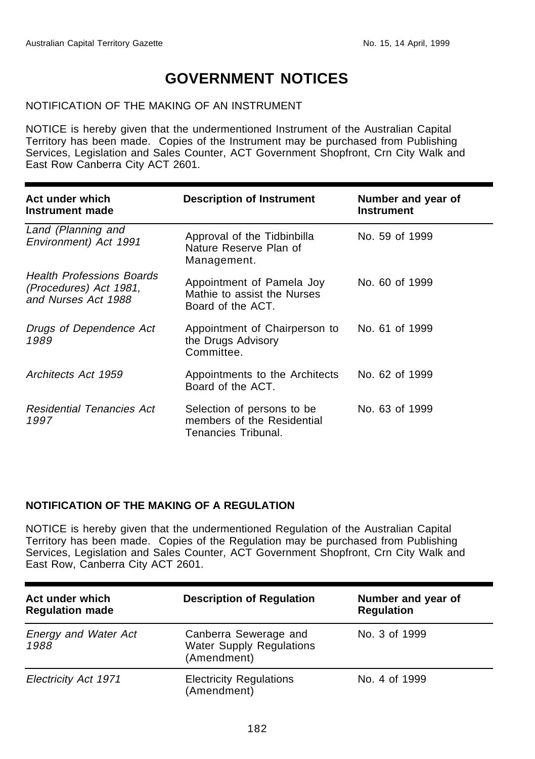## **GOVERNMENT NOTICES**

#### NOTIFICATION OF THE MAKING OF AN INSTRUMENT

NOTICE is hereby given that the undermentioned Instrument of the Australian Capital Territory has been made. Copies of the Instrument may be purchased from Publishing Services, Legislation and Sales Counter, ACT Government Shopfront, Crn City Walk and East Row Canberra City ACT 2601.

| Act under which<br>Instrument made                                                | <b>Description of Instrument</b>                                                | Number and year of<br><b>Instrument</b> |
|-----------------------------------------------------------------------------------|---------------------------------------------------------------------------------|-----------------------------------------|
| Land (Planning and<br>Environment) Act 1991                                       | Approval of the Tidbinbilla<br>Nature Reserve Plan of<br>Management.            | No. 59 of 1999                          |
| <b>Health Professions Boards</b><br>(Procedures) Act 1981,<br>and Nurses Act 1988 | Appointment of Pamela Joy<br>Mathie to assist the Nurses<br>Board of the ACT.   | No. 60 of 1999                          |
| Drugs of Dependence Act<br>1989                                                   | Appointment of Chairperson to<br>the Drugs Advisory<br>Committee.               | No. 61 of 1999                          |
| Architects Act 1959                                                               | Appointments to the Architects<br>Board of the ACT.                             | No. 62 of 1999                          |
| <b>Residential Tenancies Act</b><br>1997                                          | Selection of persons to be<br>members of the Residential<br>Tenancies Tribunal. | No. 63 of 1999                          |

#### **NOTIFICATION OF THE MAKING OF A REGULATION**

NOTICE is hereby given that the undermentioned Regulation of the Australian Capital Territory has been made. Copies of the Regulation may be purchased from Publishing Services, Legislation and Sales Counter, ACT Government Shopfront, Crn City Walk and East Row, Canberra City ACT 2601.

| Act under which<br><b>Regulation made</b> | <b>Description of Regulation</b>                                 | Number and year of<br><b>Regulation</b> |
|-------------------------------------------|------------------------------------------------------------------|-----------------------------------------|
| <b>Energy and Water Act</b><br>1988       | Canberra Sewerage and<br>Water Supply Regulations<br>(Amendment) | No. 3 of 1999                           |
| Electricity Act 1971                      | <b>Electricity Regulations</b><br>(Amendment)                    | No. 4 of 1999                           |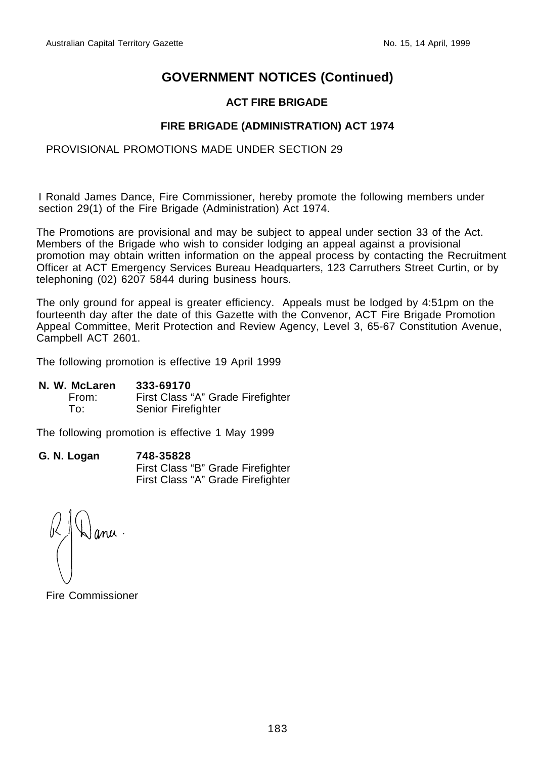#### **ACT FIRE BRIGADE**

#### **FIRE BRIGADE (ADMINISTRATION) ACT 1974**

#### PROVISIONAL PROMOTIONS MADE UNDER SECTION 29

I Ronald James Dance, Fire Commissioner, hereby promote the following members under section 29(1) of the Fire Brigade (Administration) Act 1974.

The Promotions are provisional and may be subject to appeal under section 33 of the Act. Members of the Brigade who wish to consider lodging an appeal against a provisional promotion may obtain written information on the appeal process by contacting the Recruitment Officer at ACT Emergency Services Bureau Headquarters, 123 Carruthers Street Curtin, or by telephoning (02) 6207 5844 during business hours.

The only ground for appeal is greater efficiency. Appeals must be lodged by 4:51pm on the fourteenth day after the date of this Gazette with the Convenor, ACT Fire Brigade Promotion Appeal Committee, Merit Protection and Review Agency, Level 3, 65-67 Constitution Avenue, Campbell ACT 2601.

The following promotion is effective 19 April 1999

**N. W. McLaren 333-69170**

| From: | First Class "A" Grade Firefighter |
|-------|-----------------------------------|
| To:   | Senior Firefighter                |

The following promotion is effective 1 May 1999

| G. N. Logan | 748-35828                         |
|-------------|-----------------------------------|
|             | First Class "B" Grade Firefighter |
|             | First Class "A" Grade Firefighter |

Fire Commissioner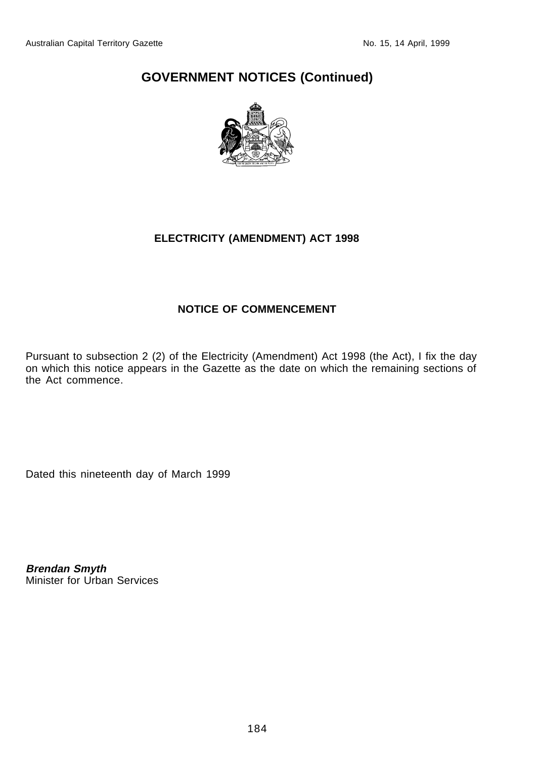

## **ELECTRICITY (AMENDMENT) ACT 1998**

## **NOTICE OF COMMENCEMENT**

Pursuant to subsection 2 (2) of the Electricity (Amendment) Act 1998 (the Act), I fix the day on which this notice appears in the Gazette as the date on which the remaining sections of the Act commence.

Dated this nineteenth day of March 1999

**Brendan Smyth** Minister for Urban Services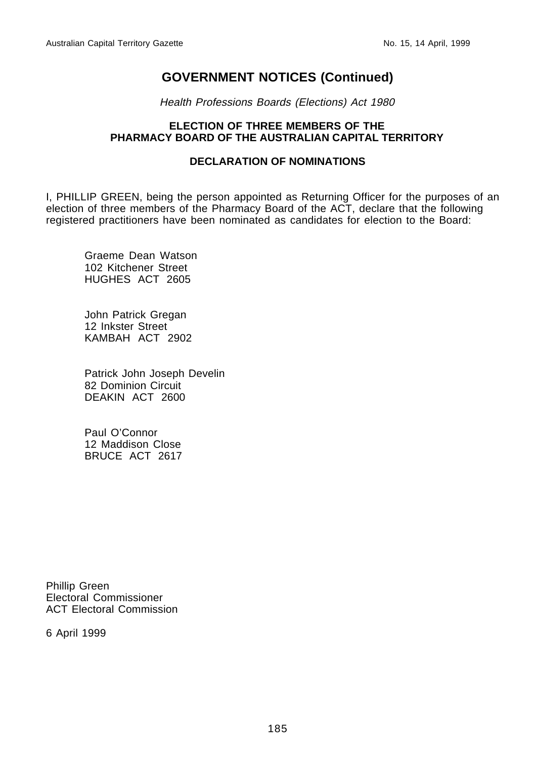Health Professions Boards (Elections) Act 1980

#### **ELECTION OF THREE MEMBERS OF THE PHARMACY BOARD OF THE AUSTRALIAN CAPITAL TERRITORY**

#### **DECLARATION OF NOMINATIONS**

I, PHILLIP GREEN, being the person appointed as Returning Officer for the purposes of an election of three members of the Pharmacy Board of the ACT, declare that the following registered practitioners have been nominated as candidates for election to the Board:

Graeme Dean Watson 102 Kitchener Street HUGHES ACT 2605

John Patrick Gregan 12 Inkster Street KAMBAH ACT 2902

Patrick John Joseph Develin 82 Dominion Circuit DEAKIN ACT 2600

Paul O'Connor 12 Maddison Close BRUCE ACT 2617

Phillip Green Electoral Commissioner ACT Electoral Commission

6 April 1999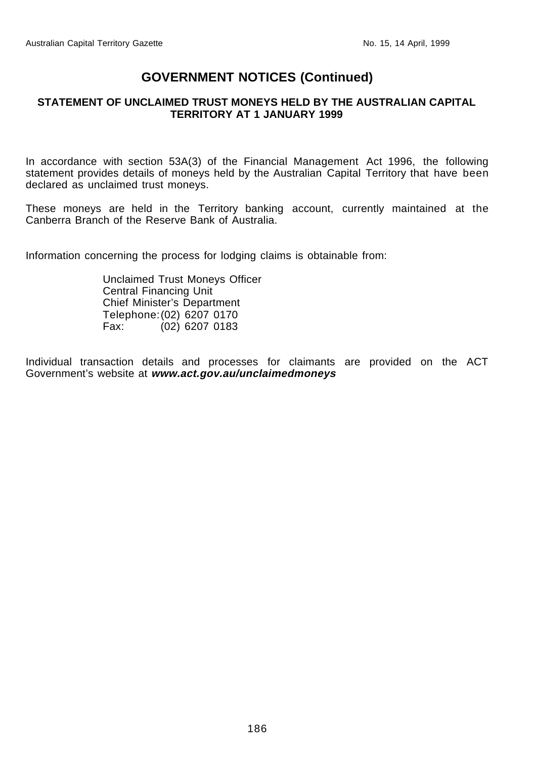#### **STATEMENT OF UNCLAIMED TRUST MONEYS HELD BY THE AUSTRALIAN CAPITAL TERRITORY AT 1 JANUARY 1999**

In accordance with section 53A(3) of the Financial Management Act 1996, the following statement provides details of moneys held by the Australian Capital Territory that have been declared as unclaimed trust moneys.

These moneys are held in the Territory banking account, currently maintained at the Canberra Branch of the Reserve Bank of Australia.

Information concerning the process for lodging claims is obtainable from:

Unclaimed Trust Moneys Officer Central Financing Unit Chief Minister's Department Telephone:(02) 6207 0170 Fax: (02) 6207 0183

Individual transaction details and processes for claimants are provided on the ACT Government's website at **www.act.gov.au/unclaimedmoneys**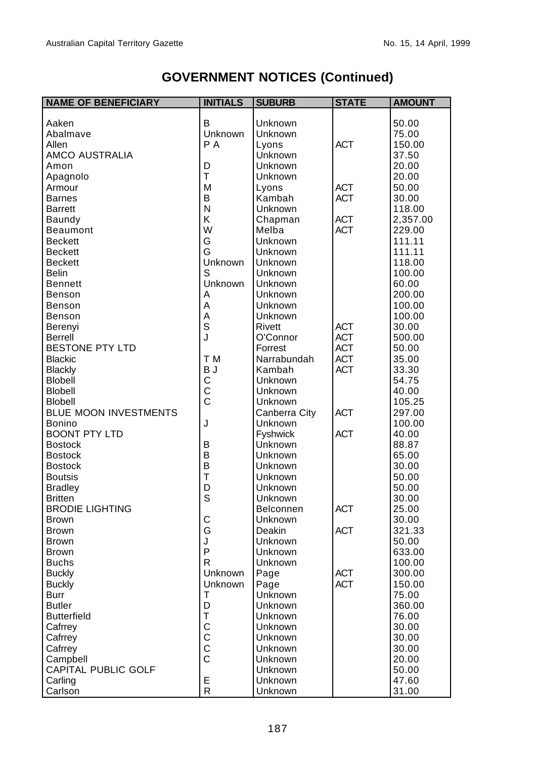| <b>NAME OF BENEFICIARY</b> | <b>INITIALS</b> | <b>SUBURB</b>  | <b>STATE</b> | <b>AMOUNT</b> |
|----------------------------|-----------------|----------------|--------------|---------------|
|                            |                 |                |              |               |
| Aaken                      | B               | Unknown        |              | 50.00         |
| Abalmave                   | Unknown         | Unknown        |              | 75.00         |
| Allen                      | P A             | Lyons          | <b>ACT</b>   | 150.00        |
| AMCO AUSTRALIA             |                 | Unknown        |              | 37.50         |
| Amon                       | D               | Unknown        |              | 20.00         |
| Apagnolo                   | $\top$          | Unknown        |              | 20.00         |
| Armour                     | M               | Lyons          | <b>ACT</b>   | 50.00         |
| <b>Barnes</b>              | B               | Kambah         | <b>ACT</b>   | 30.00         |
| <b>Barrett</b>             | N               | <b>Unknown</b> |              | 118.00        |
| Baundy                     | Κ               | Chapman        | <b>ACT</b>   | 2,357.00      |
| <b>Beaumont</b>            | W               | Melba          | <b>ACT</b>   | 229.00        |
| <b>Beckett</b>             | G               | Unknown        |              | 111.11        |
| <b>Beckett</b>             | G               | Unknown        |              | 111.11        |
| <b>Beckett</b>             | Unknown         | Unknown        |              | 118.00        |
| <b>Belin</b>               | S               | Unknown        |              | 100.00        |
| <b>Bennett</b>             | Unknown         | Unknown        |              | 60.00         |
| Benson                     | А               | Unknown        |              | 200.00        |
| Benson                     | A               | Unknown        |              | 100.00        |
| Benson                     |                 | Unknown        |              | 100.00        |
| Berenyi                    | A<br>S          | Rivett         | <b>ACT</b>   | 30.00         |
| <b>Berrell</b>             | J               | O'Connor       | <b>ACT</b>   | 500.00        |
| <b>BESTONE PTY LTD</b>     |                 | Forrest        | <b>ACT</b>   | 50.00         |
| <b>Blackic</b>             | T M             | Narrabundah    | <b>ACT</b>   | 35.00         |
| Blackly                    | B J             | Kambah         | <b>ACT</b>   | 33.30         |
| <b>Blobell</b>             | C               | <b>Unknown</b> |              | 54.75         |
| Blobell                    | $\mathsf C$     | Unknown        |              | 40.00         |
| <b>Blobell</b>             | $\bar{c}$       | Unknown        |              | 105.25        |
| BLUE MOON INVESTMENTS      |                 | Canberra City  | <b>ACT</b>   | 297.00        |
| <b>Bonino</b>              | J               | Unknown        |              | 100.00        |
| <b>BOONT PTY LTD</b>       |                 | Fyshwick       | <b>ACT</b>   | 40.00         |
| <b>Bostock</b>             | B               | Unknown        |              | 88.87         |
| <b>Bostock</b>             | B               | Unknown        |              | 65.00         |
| <b>Bostock</b>             | B               | Unknown        |              | 30.00         |
| <b>Boutsis</b>             | T               | Unknown        |              | 50.00         |
| <b>Bradley</b>             | D               | Unknown        |              | 50.00         |
| <b>Britten</b>             | S               | Unknown        |              | 30.00         |
| <b>BRODIE LIGHTING</b>     |                 | Belconnen      | <b>ACT</b>   | 25.00         |
| <b>Brown</b>               | C               | Unknown        |              | 30.00         |
| <b>Brown</b>               | G               | Deakin         | <b>ACT</b>   | 321.33        |
| Brown                      | J               | Unknown        |              | 50.00         |
| <b>Brown</b>               | P               | Unknown        |              | 633.00        |
| <b>Buchs</b>               | R               | Unknown        |              | 100.00        |
| <b>Buckly</b>              | Unknown         | Page           | <b>ACT</b>   | 300.00        |
| <b>Buckly</b>              | Unknown         | Page           | ACT          | 150.00        |
| Burr                       | T               | Unknown        |              | 75.00         |
| <b>Butler</b>              | D               | Unknown        |              | 360.00        |
| <b>Butterfield</b>         | Т               | Unknown        |              | 76.00         |
| Cafrrey                    | $\mathsf C$     | Unknown        |              | 30.00         |
| Cafrrey                    |                 | Unknown        |              | 30.00         |
| Cafrrey                    | C<br>C<br>C     | Unknown        |              | 30.00         |
| Campbell                   |                 | Unknown        |              | 20.00         |
| CAPITAL PUBLIC GOLF        |                 | <b>Unknown</b> |              | 50.00         |
| Carling                    | Ε               | Unknown        |              | 47.60         |
| Carlson                    | R               | Unknown        |              | 31.00         |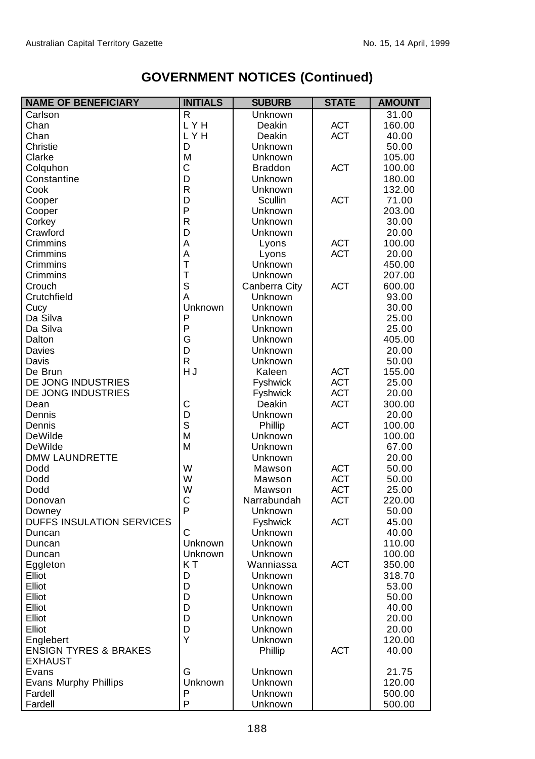| <b>NAME OF BENEFICIARY</b>       | <b>INITIALS</b> | <b>SUBURB</b>   | <b>STATE</b> | <b>AMOUNT</b> |
|----------------------------------|-----------------|-----------------|--------------|---------------|
| Carlson                          | $\mathsf{R}$    | Unknown         |              | 31.00         |
| Chan                             | LYH             | Deakin          | <b>ACT</b>   | 160.00        |
| Chan                             | LYH             | Deakin          | <b>ACT</b>   | 40.00         |
| Christie                         | D               | Unknown         |              | 50.00         |
| Clarke                           | M               | Unknown         |              | 105.00        |
| Colquhon                         | C               | <b>Braddon</b>  | <b>ACT</b>   | 100.00        |
| Constantine                      | D               | Unknown         |              | 180.00        |
| Cook                             | R               | Unknown         |              | 132.00        |
| Cooper                           | D               | Scullin         | <b>ACT</b>   | 71.00         |
| Cooper                           | P               | Unknown         |              | 203.00        |
| Corkey                           | R               | Unknown         |              | 30.00         |
| Crawford                         | D               | Unknown         |              | 20.00         |
| Crimmins                         | A               | Lyons           | <b>ACT</b>   | 100.00        |
| Crimmins                         | A               | Lyons           | <b>ACT</b>   | 20.00         |
| Crimmins                         | T               | Unknown         |              | 450.00        |
| Crimmins                         | $\top$          | Unknown         |              | 207.00        |
| Crouch                           | S               | Canberra City   | <b>ACT</b>   | 600.00        |
| Crutchfield                      | А               | Unknown         |              | 93.00         |
| Cucy                             | Unknown         | Unknown         |              | 30.00         |
| Da Silva                         | P               | Unknown         |              | 25.00         |
| Da Silva                         | P               | Unknown         |              | 25.00         |
| Dalton                           | G               | Unknown         |              | 405.00        |
| Davies                           | D               | Unknown         |              | 20.00         |
| Davis                            | R               | Unknown         |              | 50.00         |
| De Brun                          | HJ              | Kaleen          | <b>ACT</b>   | 155.00        |
| DE JONG INDUSTRIES               |                 | Fyshwick        | <b>ACT</b>   | 25.00         |
| DE JONG INDUSTRIES               |                 | Fyshwick        | <b>ACT</b>   | 20.00         |
| Dean                             | C               | Deakin          | <b>ACT</b>   | 300.00        |
| Dennis                           | D               | Unknown         |              | 20.00         |
| Dennis                           | S               | Phillip         | <b>ACT</b>   | 100.00        |
| DeWilde                          | M               | Unknown         |              | 100.00        |
| DeWilde                          | M               | Unknown         |              | 67.00         |
| <b>DMW LAUNDRETTE</b>            |                 | Unknown         |              | 20.00         |
| Dodd                             | W               | Mawson          | <b>ACT</b>   | 50.00         |
| Dodd                             | W               | Mawson          | <b>ACT</b>   | 50.00         |
| Dodd                             | W               | Mawson          | <b>ACT</b>   | 25.00         |
| Donovan                          | C               | Narrabundah     | <b>ACT</b>   | 220.00        |
| Downey                           | P               | Unknown         |              | 50.00         |
| DUFFS INSULATION SERVICES        |                 | <b>Fyshwick</b> | <b>ACT</b>   | 45.00         |
| Duncan                           | C               | Unknown         |              | 40.00         |
| Duncan                           | Unknown         | Unknown         |              | 110.00        |
| Duncan                           | Unknown         | Unknown         |              | 100.00        |
| Eggleton                         | KT              | Wanniassa       | <b>ACT</b>   | 350.00        |
| Elliot                           | D               | Unknown         |              | 318.70        |
| Elliot                           | D               | Unknown         |              | 53.00         |
| Elliot                           | D               | Unknown         |              | 50.00         |
| Elliot                           | D               | Unknown         |              | 40.00         |
| Elliot                           | D               | Unknown         |              | 20.00         |
| Elliot                           | D               | Unknown         |              | 20.00         |
| Englebert                        | Y               | <b>Unknown</b>  |              | 120.00        |
| <b>ENSIGN TYRES &amp; BRAKES</b> |                 | Phillip         | <b>ACT</b>   | 40.00         |
| <b>EXHAUST</b>                   |                 |                 |              |               |
| Evans                            | G               | Unknown         |              | 21.75         |
| <b>Evans Murphy Phillips</b>     | Unknown         | <b>Unknown</b>  |              | 120.00        |
| Fardell                          | P               | <b>Unknown</b>  |              | 500.00        |
| Fardell                          | P               | Unknown         |              | 500.00        |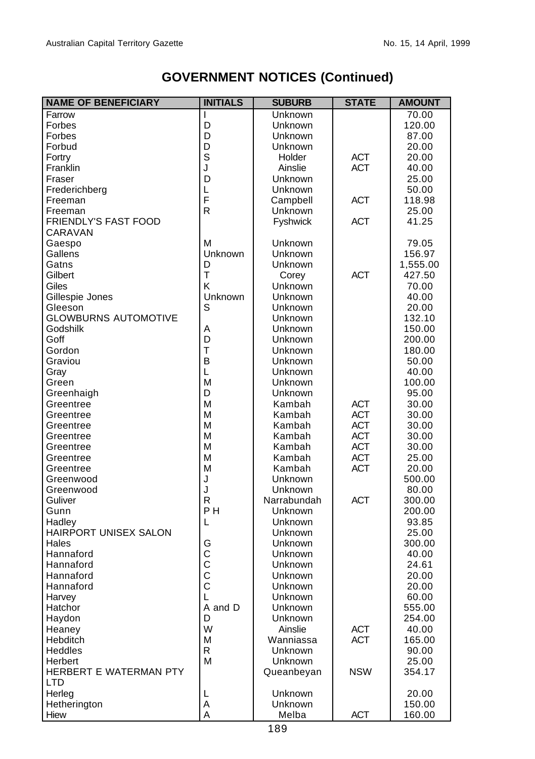| <b>NAME OF BENEFICIARY</b>  | <b>INITIALS</b> | <b>SUBURB</b> | <b>STATE</b> | <b>AMOUNT</b> |
|-----------------------------|-----------------|---------------|--------------|---------------|
| Farrow                      |                 | Unknown       |              | 70.00         |
| Forbes                      | D               | Unknown       |              | 120.00        |
| Forbes                      | D               | Unknown       |              | 87.00         |
| Forbud                      | D               | Unknown       |              | 20.00         |
| Fortry                      | S               | Holder        | <b>ACT</b>   | 20.00         |
| Franklin                    | J               | Ainslie       | <b>ACT</b>   | 40.00         |
| Fraser                      | D               | Unknown       |              | 25.00         |
| Frederichberg               | L               | Unknown       |              | 50.00         |
| Freeman                     | F               | Campbell      | <b>ACT</b>   | 118.98        |
| Freeman                     | R               | Unknown       |              | 25.00         |
| FRIENDLY'S FAST FOOD        |                 | Fyshwick      | <b>ACT</b>   | 41.25         |
| CARAVAN                     |                 |               |              |               |
| Gaespo                      | M               | Unknown       |              | 79.05         |
| Gallens                     | Unknown         | Unknown       |              | 156.97        |
| Gatns                       | D               | Unknown       |              | 1,555.00      |
| Gilbert                     | T               | Corey         | <b>ACT</b>   | 427.50        |
| Giles                       | K               | Unknown       |              | 70.00         |
| Gillespie Jones             | Unknown         | Unknown       |              | 40.00         |
| Gleeson                     | S               | Unknown       |              | 20.00         |
| <b>GLOWBURNS AUTOMOTIVE</b> |                 | Unknown       |              | 132.10        |
| Godshilk                    | Α               | Unknown       |              | 150.00        |
| Goff                        | D               | Unknown       |              | 200.00        |
| Gordon                      | T               | Unknown       |              | 180.00        |
| Graviou                     | B               | Unknown       |              | 50.00         |
| Gray                        | L               | Unknown       |              | 40.00         |
| Green                       | M               | Unknown       |              | 100.00        |
| Greenhaigh                  | D               | Unknown       |              | 95.00         |
| Greentree                   | M               | Kambah        | <b>ACT</b>   | 30.00         |
| Greentree                   | М               | Kambah        | <b>ACT</b>   | 30.00         |
| Greentree                   | М               | Kambah        | <b>ACT</b>   | 30.00         |
| Greentree                   | М               | Kambah        | <b>ACT</b>   | 30.00         |
| Greentree                   | М               | Kambah        | <b>ACT</b>   | 30.00         |
| Greentree                   | М               | Kambah        | <b>ACT</b>   | 25.00         |
| Greentree                   | M               | Kambah        | <b>ACT</b>   | 20.00         |
| Greenwood                   | J               | Unknown       |              | 500.00        |
| Greenwood                   | J               | Unknown       |              | 80.00         |
| Guliver                     | R               | Narrabundah   | <b>ACT</b>   | 300.00        |
| Gunn                        | P <sub>H</sub>  | Unknown       |              | 200.00        |
| Hadley                      | L               | Unknown       |              | 93.85         |
| HAIRPORT UNISEX SALON       |                 | Unknown       |              | 25.00         |
| Hales                       | G               | Unknown       |              | 300.00        |
| Hannaford                   | $\frac{C}{C}$   | Unknown       |              | 40.00         |
| Hannaford                   |                 | Unknown       |              | 24.61         |
| Hannaford                   | $\bar{c}$       | Unknown       |              | 20.00         |
| Hannaford                   | С               | Unknown       |              | 20.00         |
| Harvey                      | L               | Unknown       |              | 60.00         |
| Hatchor                     | A and D         | Unknown       |              | 555.00        |
| Haydon                      | D               | Unknown       |              | 254.00        |
| Heaney                      | W               | Ainslie       | <b>ACT</b>   | 40.00         |
| Hebditch                    | М               | Wanniassa     | <b>ACT</b>   | 165.00        |
| <b>Heddles</b>              | R.              | Unknown       |              | 90.00         |
| Herbert                     | M               | Unknown       |              | 25.00         |
| HERBERT E WATERMAN PTY      |                 | Queanbeyan    | <b>NSW</b>   | 354.17        |
| LTD                         |                 |               |              |               |
| Herleg                      | L               | Unknown       |              | 20.00         |
| Hetherington                | Α               | Unknown       |              | 150.00        |
| Hiew                        | Α               | Melba         | <b>ACT</b>   | 160.00        |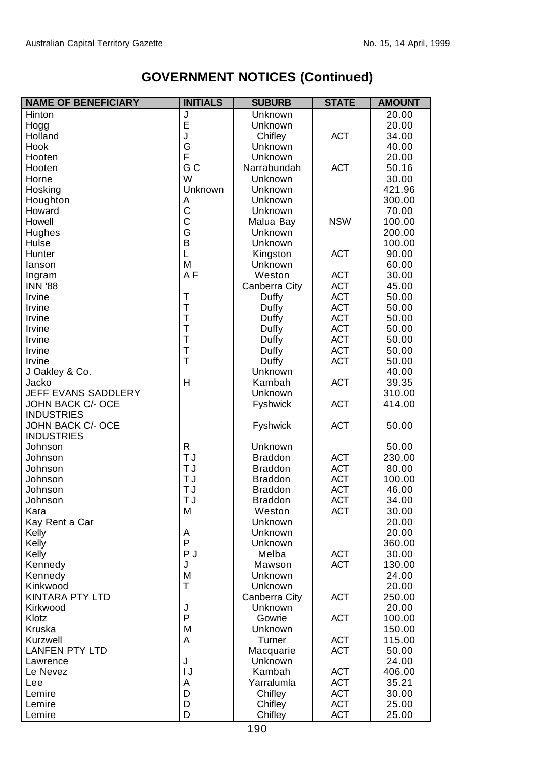| <b>NAME OF BENEFICIARY</b> | <b>INITIALS</b> | <b>SUBURB</b>   | <b>STATE</b>             | <b>AMOUNT</b>   |
|----------------------------|-----------------|-----------------|--------------------------|-----------------|
| Hinton                     | J               | Unknown         |                          | 20.00           |
| Hogg                       | Ė               | <b>Unknown</b>  |                          | 20.00           |
| Holland                    | J               | Chifley         | <b>ACT</b>               | 34.00           |
| Hook                       | G               | Unknown         |                          | 40.00           |
| Hooten                     | F               | Unknown         |                          | 20.00           |
| Hooten                     | G C             | Narrabundah     | <b>ACT</b>               | 50.16           |
| Horne                      | W               | Unknown         |                          | 30.00           |
| Hosking                    | Unknown         | <b>Unknown</b>  |                          | 421.96          |
| Houghton                   | Α               | Unknown         |                          | 300.00          |
| Howard                     | C               | Unknown         |                          | 70.00           |
| Howell                     | C               | Malua Bay       | <b>NSW</b>               | 100.00          |
| Hughes                     | G               | Unknown         |                          | 200.00          |
| Hulse                      | B               | Unknown         |                          | 100.00          |
| Hunter                     | L               | Kingston        | <b>ACT</b>               | 90.00           |
| lanson                     | M               | Unknown         |                          | 60.00           |
| Ingram                     | AF              | Weston          | <b>ACT</b>               | 30.00           |
| <b>INN '88</b>             |                 | Canberra City   | <b>ACT</b>               | 45.00           |
| Irvine                     | T               | Duffy           | <b>ACT</b>               | 50.00           |
| Irvine                     | T               | Duffy           | <b>ACT</b>               | 50.00           |
| Irvine                     | Τ               | Duffy           | <b>ACT</b>               | 50.00           |
| Irvine                     | T               | Duffy           | <b>ACT</b>               | 50.00           |
| Irvine                     | T               | Duffy           | <b>ACT</b>               | 50.00           |
| Irvine                     | Τ               | Duffy           | <b>ACT</b>               | 50.00           |
| Irvine                     | T               | Duffy           | <b>ACT</b>               | 50.00           |
| J Oakley & Co.             |                 | Unknown         |                          | 40.00           |
| Jacko                      | H               | Kambah          | <b>ACT</b>               | 39.35           |
| JEFF EVANS SADDLERY        |                 | Unknown         |                          | 310.00          |
| JOHN BACK C/- OCE          |                 | Fyshwick        | <b>ACT</b>               | 414.00          |
| <b>INDUSTRIES</b>          |                 |                 |                          |                 |
| JOHN BACK C/- OCE          |                 | Fyshwick        | <b>ACT</b>               | 50.00           |
| <b>INDUSTRIES</b>          |                 |                 |                          |                 |
| Johnson                    | R               | Unknown         |                          | 50.00           |
| Johnson                    | T J             | <b>Braddon</b>  | <b>ACT</b>               | 230.00          |
| Johnson                    | T J             | <b>Braddon</b>  | <b>ACT</b>               | 80.00           |
| Johnson                    | T J             | <b>Braddon</b>  | <b>ACT</b>               | 100.00          |
| Johnson                    | T J             | <b>Braddon</b>  | <b>ACT</b>               | 46.00           |
| Johnson                    | T J             | <b>Braddon</b>  | <b>ACT</b>               | 34.00           |
| Kara                       | M               | Weston          | <b>ACT</b>               | 30.00           |
| Kay Rent a Car             |                 | Unknown         |                          | 20.00           |
| Kelly                      | Α<br>P          | Unknown         |                          | 20.00           |
| Kelly                      | P J             | Unknown         |                          | 360.00          |
| Kelly<br>Kennedy           | J               | Melba<br>Mawson | <b>ACT</b><br><b>ACT</b> | 30.00<br>130.00 |
|                            | м               | Unknown         |                          | 24.00           |
| Kennedy<br>Kinkwood        | T               | Unknown         |                          |                 |
| <b>KINTARA PTY LTD</b>     |                 | Canberra City   | <b>ACT</b>               | 20.00<br>250.00 |
| Kirkwood                   | J               | Unknown         |                          | 20.00           |
| Klotz                      | P               | Gowrie          | <b>ACT</b>               | 100.00          |
| Kruska                     | M               | Unknown         |                          | 150.00          |
| Kurzwell                   | A               | Turner          | <b>ACT</b>               | 115.00          |
| <b>LANFEN PTY LTD</b>      |                 | Macquarie       | <b>ACT</b>               | 50.00           |
| Lawrence                   | J               | Unknown         |                          | 24.00           |
| Le Nevez                   | IJ              | Kambah          | <b>ACT</b>               | 406.00          |
| Lee                        | Α               | Yarralumla      | <b>ACT</b>               | 35.21           |
| Lemire                     | D               | Chifley         | ACT                      | 30.00           |
| Lemire                     | D               | Chifley         | <b>ACT</b>               | 25.00           |
| Lemire                     | D               | Chifley         | <b>ACT</b>               | 25.00           |
|                            |                 |                 |                          |                 |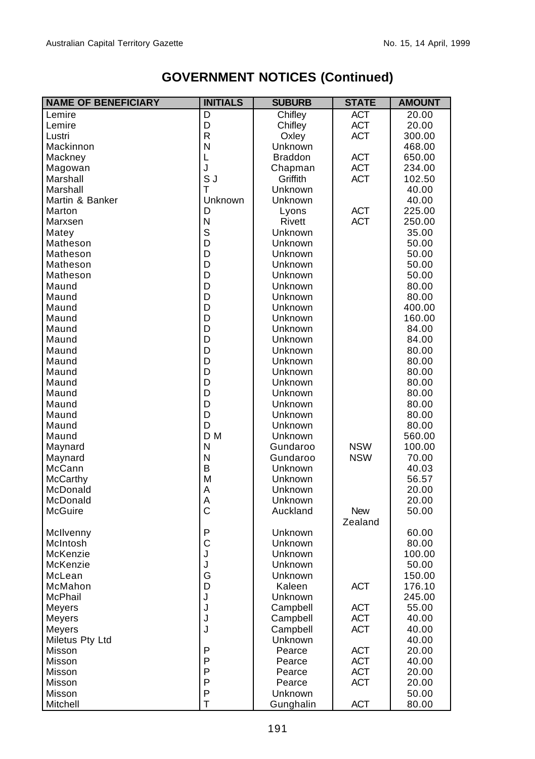| <b>NAME OF BENEFICIARY</b> | <b>INITIALS</b> | <b>SUBURB</b>  | <b>STATE</b> | <b>AMOUNT</b> |
|----------------------------|-----------------|----------------|--------------|---------------|
| Lemire                     | $\overline{D}$  | Chifley        | <b>ACT</b>   | 20.00         |
| Lemire                     | D               | Chifley        | <b>ACT</b>   | 20.00         |
| Lustri                     | R               | Oxley          | <b>ACT</b>   | 300.00        |
| Mackinnon                  | N               | Unknown        |              | 468.00        |
| Mackney                    | L               | <b>Braddon</b> | <b>ACT</b>   | 650.00        |
| Magowan                    | J               | Chapman        | <b>ACT</b>   | 234.00        |
| Marshall                   | S J             | Griffith       | <b>ACT</b>   | 102.50        |
| Marshall                   | T               | Unknown        |              | 40.00         |
| Martin & Banker            | Unknown         | Unknown        |              | 40.00         |
| Marton                     | D               | Lyons          | <b>ACT</b>   | 225.00        |
| Marxsen                    | N               | Rivett         | <b>ACT</b>   | 250.00        |
| Matey                      | S               | Unknown        |              | 35.00         |
| Matheson                   | D               | Unknown        |              | 50.00         |
| Matheson                   | D               | Unknown        |              | 50.00         |
| Matheson                   | D               | Unknown        |              | 50.00         |
| Matheson                   | D               | Unknown        |              | 50.00         |
| Maund                      | D               | Unknown        |              | 80.00         |
| Maund                      | D               | Unknown        |              | 80.00         |
| Maund                      | D               | Unknown        |              | 400.00        |
| Maund                      | D               | Unknown        |              | 160.00        |
| Maund                      | D               | Unknown        |              | 84.00         |
| Maund                      | D               | Unknown        |              | 84.00         |
| Maund                      | D               | Unknown        |              |               |
|                            |                 |                |              | 80.00         |
| Maund                      | D<br>D          | Unknown        |              | 80.00         |
| Maund                      |                 | Unknown        |              | 80.00         |
| Maund                      | D               | Unknown        |              | 80.00         |
| Maund                      | D               | Unknown        |              | 80.00         |
| Maund                      | D               | Unknown        |              | 80.00         |
| Maund                      | D               | Unknown        |              | 80.00         |
| Maund                      | D               | Unknown        |              | 80.00         |
| Maund                      | D <sub>M</sub>  | Unknown        |              | 560.00        |
| Maynard                    | N               | Gundaroo       | <b>NSW</b>   | 100.00        |
| Maynard                    | N               | Gundaroo       | <b>NSW</b>   | 70.00         |
| McCann                     | B               | Unknown        |              | 40.03         |
| McCarthy                   | M               | Unknown        |              | 56.57         |
| McDonald                   | Α               | Unknown        |              | 20.00         |
| McDonald                   | Α               | Unknown        |              | 20.00         |
| McGuire                    | $\mathsf{C}$    | Auckland       | <b>New</b>   | 50.00         |
|                            |                 |                | Zealand      |               |
| McIlvenny                  | P               | Unknown        |              | 60.00         |
| McIntosh                   | C               | Unknown        |              | 80.00         |
| McKenzie                   | J               | Unknown        |              | 100.00        |
| McKenzie                   | J               | Unknown        |              | 50.00         |
| McLean                     | G               | Unknown        |              | 150.00        |
| McMahon                    | D               | Kaleen         | <b>ACT</b>   | 176.10        |
| McPhail                    | J               | Unknown        |              | 245.00        |
| Meyers                     | J               | Campbell       | <b>ACT</b>   | 55.00         |
| Meyers                     | J               | Campbell       | <b>ACT</b>   | 40.00         |
| Meyers                     | J               | Campbell       | <b>ACT</b>   | 40.00         |
| Miletus Pty Ltd            |                 | Unknown        |              | 40.00         |
| Misson                     | P               | Pearce         | <b>ACT</b>   | 20.00         |
| Misson                     | P               | Pearce         | <b>ACT</b>   | 40.00         |
| Misson                     | P               | Pearce         | <b>ACT</b>   | 20.00         |
| Misson                     | P               | Pearce         | <b>ACT</b>   | 20.00         |
| Misson                     | P               | <b>Unknown</b> |              | 50.00         |
| Mitchell                   | T               | Gunghalin      | <b>ACT</b>   | 80.00         |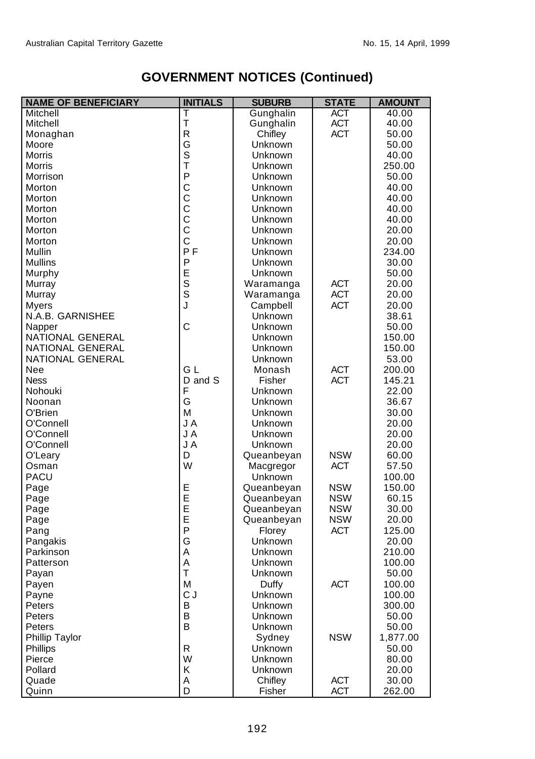| <b>NAME OF BENEFICIARY</b> | <b>INITIALS</b>         | <b>SUBURB</b>  | <b>STATE</b> | <b>AMOUNT</b>   |
|----------------------------|-------------------------|----------------|--------------|-----------------|
| Mitchell                   | T                       | Gunghalin      | ACT          | 40.00           |
| Mitchell                   | T                       | Gunghalin      | <b>ACT</b>   | 40.00           |
| Monaghan                   | R                       | Chifley        | <b>ACT</b>   | 50.00           |
| Moore                      | G                       | Unknown        |              | 50.00           |
| <b>Morris</b>              | S                       | Unknown        |              | 40.00           |
| Morris                     | $\overline{\mathsf{T}}$ | Unknown        |              | 250.00          |
| Morrison                   | P                       | Unknown        |              | 50.00           |
| Morton                     | C                       | Unknown        |              | 40.00           |
| Morton                     | $\mathsf{C}$            | Unknown        |              | 40.00           |
| Morton                     | $\mathsf{C}$            | Unknown        |              | 40.00           |
| Morton                     | $\bar{c}$               | Unknown        |              | 40.00           |
| Morton                     | $\bar{c}$               | Unknown        |              | 20.00           |
| Morton                     | C                       | Unknown        |              | 20.00           |
| <b>Mullin</b>              | <b>PF</b>               | Unknown        |              | 234.00          |
| <b>Mullins</b>             | P                       | Unknown        |              | 30.00           |
| Murphy                     | E<br>S                  | Unknown        |              | 50.00           |
| Murray                     |                         | Waramanga      | <b>ACT</b>   | 20.00           |
| Murray                     | $\bar{\mathbf{s}}$      | Waramanga      | <b>ACT</b>   | 20.00           |
| Myers                      | J                       | Campbell       | <b>ACT</b>   | 20.00           |
| N.A.B. GARNISHEE           |                         | <b>Unknown</b> |              | 38.61           |
| Napper                     | C                       | Unknown        |              | 50.00           |
| NATIONAL GENERAL           |                         | Unknown        |              | 150.00          |
| NATIONAL GENERAL           |                         | Unknown        |              | 150.00          |
| NATIONAL GENERAL           |                         | Unknown        |              | 53.00           |
| Nee                        | G L                     | Monash         | <b>ACT</b>   | 200.00          |
| <b>Ness</b>                | D and S                 | Fisher         | <b>ACT</b>   | 145.21          |
| Nohouki                    | F                       | Unknown        |              | 22.00           |
| Noonan                     | G                       | Unknown        |              | 36.67           |
| O'Brien                    | M                       | Unknown        |              | 30.00           |
| O'Connell                  | J A                     | Unknown        |              | 20.00           |
| O'Connell                  | J A                     | Unknown        |              | 20.00           |
| O'Connell                  | J A                     | Unknown        |              | 20.00           |
| O'Leary                    | D                       | Queanbeyan     | <b>NSW</b>   | 60.00           |
| Osman                      | W                       | Macgregor      | <b>ACT</b>   | 57.50           |
| PACU                       |                         | Unknown        |              | 100.00          |
| Page                       | E                       | Queanbeyan     | <b>NSW</b>   | 150.00          |
| Page                       | $\bar{E}$               | Queanbeyan     | <b>NSW</b>   | 60.15           |
|                            | Ē                       | Queanbeyan     | <b>NSW</b>   | 30.00           |
| Page                       | E                       | Queanbeyan     | <b>NSW</b>   | 20.00           |
| Page                       | P                       | Florey         | <b>ACT</b>   | 125.00          |
| Pang                       | G                       | Unknown        |              |                 |
| Pangakis<br>Parkinson      | Α                       | Unknown        |              | 20.00<br>210.00 |
|                            | A                       |                |              |                 |
| Patterson                  | T                       | Unknown        |              | 100.00          |
| Payan                      |                         | Unknown        |              | 50.00           |
| Payen                      | М                       | Duffy          | <b>ACT</b>   | 100.00          |
| Payne                      | C J                     | Unknown        |              | 100.00          |
| Peters                     | B                       | Unknown        |              | 300.00          |
| Peters                     | В                       | Unknown        |              | 50.00           |
| Peters                     | B                       | Unknown        |              | 50.00           |
| Phillip Taylor             |                         | Sydney         | <b>NSW</b>   | 1,877.00        |
| Phillips                   | R                       | Unknown        |              | 50.00           |
| Pierce                     | W                       | Unknown        |              | 80.00           |
| Pollard                    | Κ                       | Unknown        |              | 20.00           |
| Quade                      | Α                       | Chifley        | <b>ACT</b>   | 30.00           |
| Quinn                      | D                       | Fisher         | <b>ACT</b>   | 262.00          |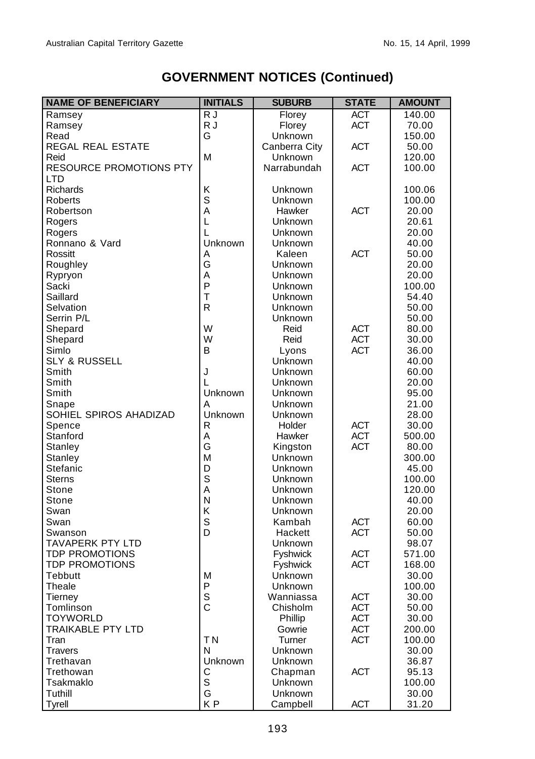| <b>NAME OF BENEFICIARY</b>     | <b>INITIALS</b> | <b>SUBURB</b>  | <b>STATE</b> | <b>AMOUNT</b> |
|--------------------------------|-----------------|----------------|--------------|---------------|
| Ramsey                         | R J             | Florey         | <b>ACT</b>   | 140.00        |
| Ramsey                         | R J             | Florey         | <b>ACT</b>   | 70.00         |
| Read                           | G               | Unknown        |              | 150.00        |
| REGAL REAL ESTATE              |                 | Canberra City  | <b>ACT</b>   | 50.00         |
| Reid                           | M               | Unknown        |              | 120.00        |
| <b>RESOURCE PROMOTIONS PTY</b> |                 | Narrabundah    | <b>ACT</b>   | 100.00        |
| LTD                            |                 |                |              |               |
| <b>Richards</b>                | Κ               | Unknown        |              | 100.06        |
| Roberts                        | $\mathbf S$     | Unknown        |              | 100.00        |
| Robertson                      | A               | Hawker         | <b>ACT</b>   | 20.00         |
| Rogers                         | Г               | Unknown        |              | 20.61         |
| Rogers                         | L               | Unknown        |              | 20.00         |
| Ronnano & Vard                 | Unknown         | Unknown        |              | 40.00         |
| Rossitt                        | A               | Kaleen         | <b>ACT</b>   | 50.00         |
| Roughley                       | G               | Unknown        |              | 20.00         |
| Rypryon                        | A               | Unknown        |              | 20.00         |
| Sacki                          | P               | Unknown        |              | 100.00        |
| Saillard                       | T               | Unknown        |              | 54.40         |
| Selvation                      | $\mathsf{R}$    | Unknown        |              | 50.00         |
| Serrin P/L                     |                 | Unknown        |              | 50.00         |
| Shepard                        | W               | Reid           | <b>ACT</b>   | 80.00         |
| Shepard                        | W               | Reid           | <b>ACT</b>   | 30.00         |
| Simlo                          | B               | Lyons          | <b>ACT</b>   | 36.00         |
| <b>SLY &amp; RUSSELL</b>       |                 | Unknown        |              | 40.00         |
| Smith                          | J               | Unknown        |              | 60.00         |
| Smith                          | L               | Unknown        |              | 20.00         |
| Smith                          | Unknown         | Unknown        |              | 95.00         |
| Snape                          | A               | Unknown        |              | 21.00         |
| SOHIEL SPIROS AHADIZAD         | Unknown         | Unknown        |              | 28.00         |
| Spence                         | $\mathsf{R}$    | Holder         | <b>ACT</b>   | 30.00         |
| Stanford                       | A               | Hawker         | <b>ACT</b>   | 500.00        |
| Stanley                        | G               | Kingston       | <b>ACT</b>   | 80.00         |
| Stanley                        | M               | Unknown        |              | 300.00        |
| Stefanic                       | D               | Unknown        |              | 45.00         |
| <b>Sterns</b>                  | S               | Unknown        |              | 100.00        |
| Stone                          | A               | Unknown        |              | 120.00        |
| Stone                          | N               | Unknown        |              | 40.00         |
| Swan                           | Κ               | Unknown        |              | 20.00         |
| Swan                           | S               | Kambah         | <b>ACT</b>   | 60.00         |
| Swanson                        | D               | Hackett        | <b>ACT</b>   | 50.00         |
| <b>TAVAPERK PTY LTD</b>        |                 | Unknown        |              | 98.07         |
| <b>TDP PROMOTIONS</b>          |                 | Fyshwick       | <b>ACT</b>   | 571.00        |
| <b>TDP PROMOTIONS</b>          |                 | Fyshwick       | <b>ACT</b>   | 168.00        |
| Tebbutt                        | M               | Unknown        |              | 30.00         |
| Theale                         | P               | Unknown        |              | 100.00        |
| Tierney                        | $\mathsf S$     | Wanniassa      | <b>ACT</b>   | 30.00         |
| Tomlinson                      | $\mathsf{C}$    | Chisholm       | <b>ACT</b>   | 50.00         |
| <b>TOYWORLD</b>                |                 | Phillip        | <b>ACT</b>   | 30.00         |
| <b>TRAIKABLE PTY LTD</b>       |                 | Gowrie         | <b>ACT</b>   | 200.00        |
| Tran                           | T <sub>N</sub>  | Turner         | <b>ACT</b>   | 100.00        |
| <b>Travers</b>                 | N               | <b>Unknown</b> |              | 30.00         |
| Trethavan                      | Unknown         | Unknown        |              | 36.87         |
| Trethowan                      | С               | Chapman        | <b>ACT</b>   | 95.13         |
| Tsakmaklo                      | $\mathsf S$     | <b>Unknown</b> |              | 100.00        |
| Tuthill                        | G               | Unknown        |              | 30.00         |
| Tyrell                         | KP              | Campbell       | <b>ACT</b>   | 31.20         |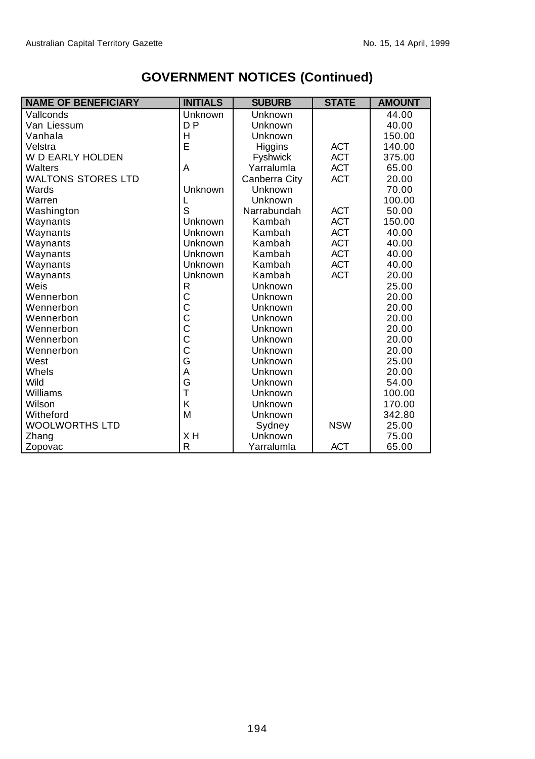| <b>NAME OF BENEFICIARY</b> | <b>INITIALS</b> | <b>SUBURB</b>        | <b>STATE</b> | <b>AMOUNT</b> |
|----------------------------|-----------------|----------------------|--------------|---------------|
| Vallconds                  | Unknown         | Unknown              |              | 44.00         |
| Van Liessum                | D <sub>P</sub>  | Unknown              |              | 40.00         |
| Vanhala                    | H               | Unknown              |              | 150.00        |
| Velstra                    | E               | Higgins              | <b>ACT</b>   | 140.00        |
| <b>W D EARLY HOLDEN</b>    |                 | <b>Fyshwick</b>      | <b>ACT</b>   | 375.00        |
| Walters                    | A               | Yarralumla           | <b>ACT</b>   | 65.00         |
| <b>WALTONS STORES LTD</b>  |                 | Canberra City        | <b>ACT</b>   | 20.00         |
| Wards                      | Unknown         | Unknown              |              | 70.00         |
| Warren                     | L               | Unknown              |              | 100.00        |
| Washington                 | S               | Narrabundah          | <b>ACT</b>   | 50.00         |
| Waynants                   | Unknown         | <b>ACT</b><br>Kambah |              | 150.00        |
| Waynants                   | Unknown         | <b>ACT</b><br>Kambah |              | 40.00         |
| Waynants                   | Unknown         | <b>ACT</b><br>Kambah |              | 40.00         |
| Waynants                   | Unknown         | <b>ACT</b><br>Kambah |              | 40.00         |
| Waynants                   | Unknown         | <b>ACT</b><br>Kambah |              | 40.00         |
| Waynants                   | Unknown         | Kambah               | <b>ACT</b>   | 20.00         |
| Weis                       | R               | Unknown              |              | 25.00         |
| Wennerbon                  | $\mathsf{C}$    | Unknown              |              | 20.00         |
| Wennerbon                  | $\mathsf{C}$    | Unknown              |              | 20.00         |
| Wennerbon                  | C               | Unknown              |              | 20.00         |
| Wennerbon                  | $\bar{c}$       | Unknown              |              | 20.00         |
| Wennerbon                  | $\mathsf{C}$    | Unknown              |              | 20.00         |
| Wennerbon                  | $\mathsf{C}$    | Unknown              |              | 20.00         |
| West                       | G               | Unknown              |              | 25.00         |
| Whels                      | A               | Unknown              |              | 20.00         |
| Wild                       | G               | Unknown              |              | 54.00         |
| Williams                   | $\overline{1}$  | Unknown              |              | 100.00        |
| Wilson                     | K               | Unknown              |              | 170.00        |
| Witheford                  | M               | Unknown              |              | 342.80        |
| <b>WOOLWORTHS LTD</b>      |                 | Sydney               | <b>NSW</b>   | 25.00         |
| Zhang                      | XH              | Unknown              |              | 75.00         |
| Zopovac                    | $\mathsf{R}$    | Yarralumla           | <b>ACT</b>   | 65.00         |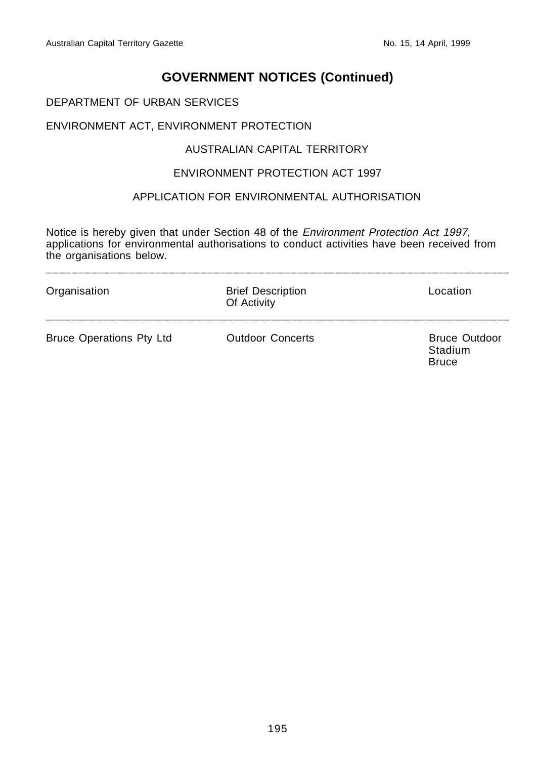#### DEPARTMENT OF URBAN SERVICES

#### ENVIRONMENT ACT, ENVIRONMENT PROTECTION

#### AUSTRALIAN CAPITAL TERRITORY

#### ENVIRONMENT PROTECTION ACT 1997

#### APPLICATION FOR ENVIRONMENTAL AUTHORISATION

Notice is hereby given that under Section 48 of the Environment Protection Act 1997, applications for environmental authorisations to conduct activities have been received from the organisations below.

\_\_\_\_\_\_\_\_\_\_\_\_\_\_\_\_\_\_\_\_\_\_\_\_\_\_\_\_\_\_\_\_\_\_\_\_\_\_\_\_\_\_\_\_\_\_\_\_\_\_\_\_\_\_\_\_\_\_\_\_\_\_\_\_\_\_\_\_\_\_\_\_

| Organisation                    | <b>Brief Description</b><br>Of Activity | Location                                        |  |
|---------------------------------|-----------------------------------------|-------------------------------------------------|--|
| <b>Bruce Operations Pty Ltd</b> | <b>Outdoor Concerts</b>                 | <b>Bruce Outdoor</b><br>Stadium<br><b>Bruce</b> |  |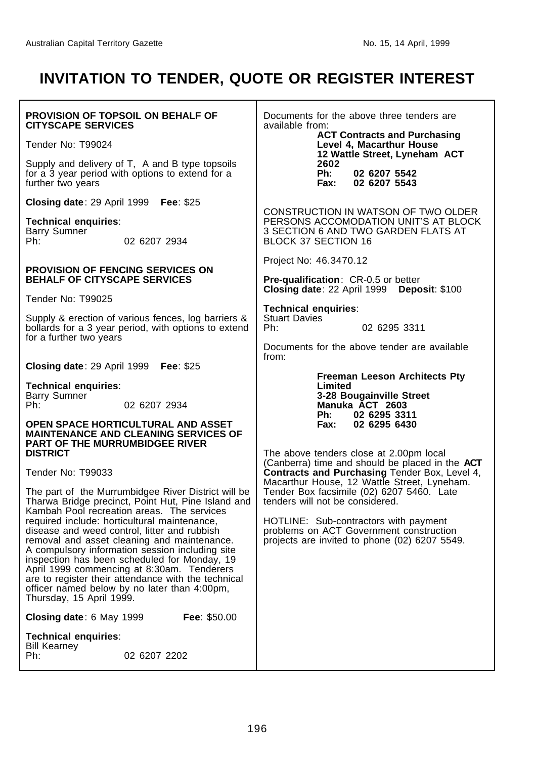# **INVITATION TO TENDER, QUOTE OR REGISTER INTEREST**

| <b>PROVISION OF TOPSOIL ON BEHALF OF</b><br><b>CITYSCAPE SERVICES</b>                                                                                                                                                                                                                                                                                                                                                                                                         | Documents for the above three tenders are<br>available from:                                                                                  |  |  |
|-------------------------------------------------------------------------------------------------------------------------------------------------------------------------------------------------------------------------------------------------------------------------------------------------------------------------------------------------------------------------------------------------------------------------------------------------------------------------------|-----------------------------------------------------------------------------------------------------------------------------------------------|--|--|
| Tender No: T99024                                                                                                                                                                                                                                                                                                                                                                                                                                                             | <b>ACT Contracts and Purchasing</b><br>Level 4, Macarthur House                                                                               |  |  |
| Supply and delivery of T, A and B type topsoils<br>for a 3 year period with options to extend for a<br>further two years                                                                                                                                                                                                                                                                                                                                                      | 12 Wattle Street, Lyneham ACT<br>2602<br>Ph:<br>02 6207 5542<br>Fax:<br>02 6207 5543                                                          |  |  |
| Closing date: 29 April 1999 Fee: \$25                                                                                                                                                                                                                                                                                                                                                                                                                                         | CONSTRUCTION IN WATSON OF TWO OLDER                                                                                                           |  |  |
| <b>Technical enquiries:</b><br><b>Barry Sumner</b><br>02 6207 2934<br>Ph:                                                                                                                                                                                                                                                                                                                                                                                                     | PERSONS ACCOMODATION UNIT'S AT BLOCK<br>3 SECTION 6 AND TWO GARDEN FLATS AT<br>BLOCK 37 SECTION 16                                            |  |  |
| <b>PROVISION OF FENCING SERVICES ON</b><br><b>BEHALF OF CITYSCAPE SERVICES</b>                                                                                                                                                                                                                                                                                                                                                                                                | Project No: 46.3470.12<br><b>Pre-qualification: CR-0.5 or better</b>                                                                          |  |  |
| Tender No: T99025                                                                                                                                                                                                                                                                                                                                                                                                                                                             | <b>Closing date: 22 April 1999</b><br>Deposit: \$100                                                                                          |  |  |
| Supply & erection of various fences, log barriers &<br>bollards for a 3 year period, with options to extend<br>for a further two years                                                                                                                                                                                                                                                                                                                                        | Technical enquiries:<br><b>Stuart Davies</b><br>Ph:<br>02 6295 3311                                                                           |  |  |
| Closing date: 29 April 1999 Fee: \$25                                                                                                                                                                                                                                                                                                                                                                                                                                         | Documents for the above tender are available<br>from:                                                                                         |  |  |
| <b>Technical enquiries:</b><br><b>Barry Sumner</b><br>02 6207 2934<br>Ph:<br>OPEN SPACE HORTICULTURAL AND ASSET<br><b>MAINTENANCE AND CLEANING SERVICES OF</b>                                                                                                                                                                                                                                                                                                                | <b>Freeman Leeson Architects Pty</b><br>Limited<br>3-28 Bougainville Street<br>Manuka ACT 2603<br>Ph:<br>02 6295 3311<br>Fax:<br>02 6295 6430 |  |  |
| <b>PART OF THE MURRUMBIDGEE RIVER</b><br><b>DISTRICT</b><br>Tender No: T99033                                                                                                                                                                                                                                                                                                                                                                                                 | The above tenders close at 2.00pm local<br>(Canberra) time and should be placed in the ACT<br>Contracts and Purchasing Tender Box, Level 4,   |  |  |
| The part of the Murrumbidgee River District will be<br>Tharwa Bridge precinct, Point Hut, Pine Island and                                                                                                                                                                                                                                                                                                                                                                     | Macarthur House, 12 Wattle Street, Lyneham.<br>Tender Box facsimile (02) 6207 5460. Late<br>tenders will not be considered.                   |  |  |
| Kambah Pool recreation areas. The services<br>required include: horticultural maintenance,<br>disease and weed control, litter and rubbish<br>removal and asset cleaning and maintenance.<br>A compulsory information session including site<br>inspection has been scheduled for Monday, 19<br>April 1999 commencing at 8:30am. Tenderers<br>are to register their attendance with the technical<br>officer named below by no later than 4:00pm,<br>Thursday, 15 April 1999. | HOTLINE: Sub-contractors with payment<br>problems on ACT Government construction<br>projects are invited to phone (02) 6207 5549.             |  |  |
| Fee: \$50.00<br>Closing date: 6 May 1999                                                                                                                                                                                                                                                                                                                                                                                                                                      |                                                                                                                                               |  |  |
| <b>Technical enquiries:</b><br><b>Bill Kearney</b><br>Ph:<br>02 6207 2202                                                                                                                                                                                                                                                                                                                                                                                                     |                                                                                                                                               |  |  |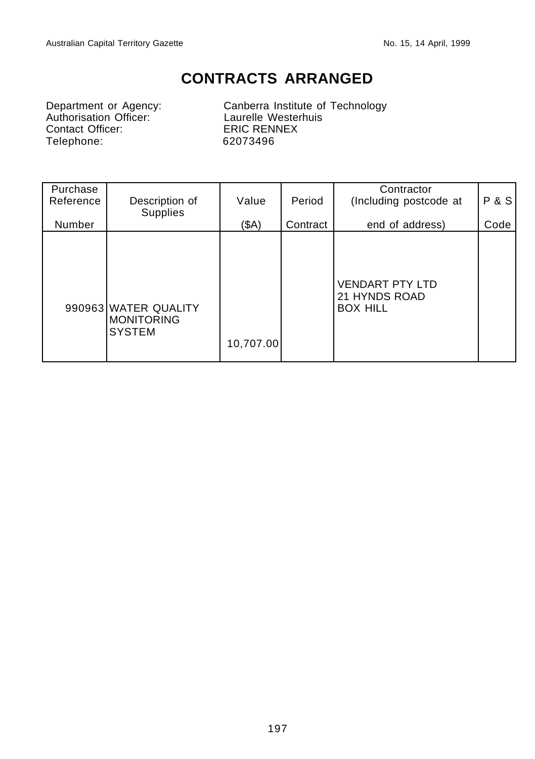## **CONTRACTS ARRANGED**

Department or Agency:<br>
Authorisation Officer:<br>
Contact Officer:<br>
ERIC RENNEX Contact Officer:<br>
Telephone: 62073496 Telephone:

Canberra Institute of Technology<br>Laurelle Westerhuis

| Purchase<br>Reference | Description of<br>Supplies                                 | Value     | Period   | Contractor<br>(Including postcode at                       | <b>P&amp;S</b> |
|-----------------------|------------------------------------------------------------|-----------|----------|------------------------------------------------------------|----------------|
| Number                |                                                            | (SA)      | Contract | end of address)                                            | Code           |
|                       | 990963 WATER QUALITY<br><b>MONITORING</b><br><b>SYSTEM</b> | 10,707.00 |          | <b>VENDART PTY LTD</b><br>21 HYNDS ROAD<br><b>BOX HILL</b> |                |